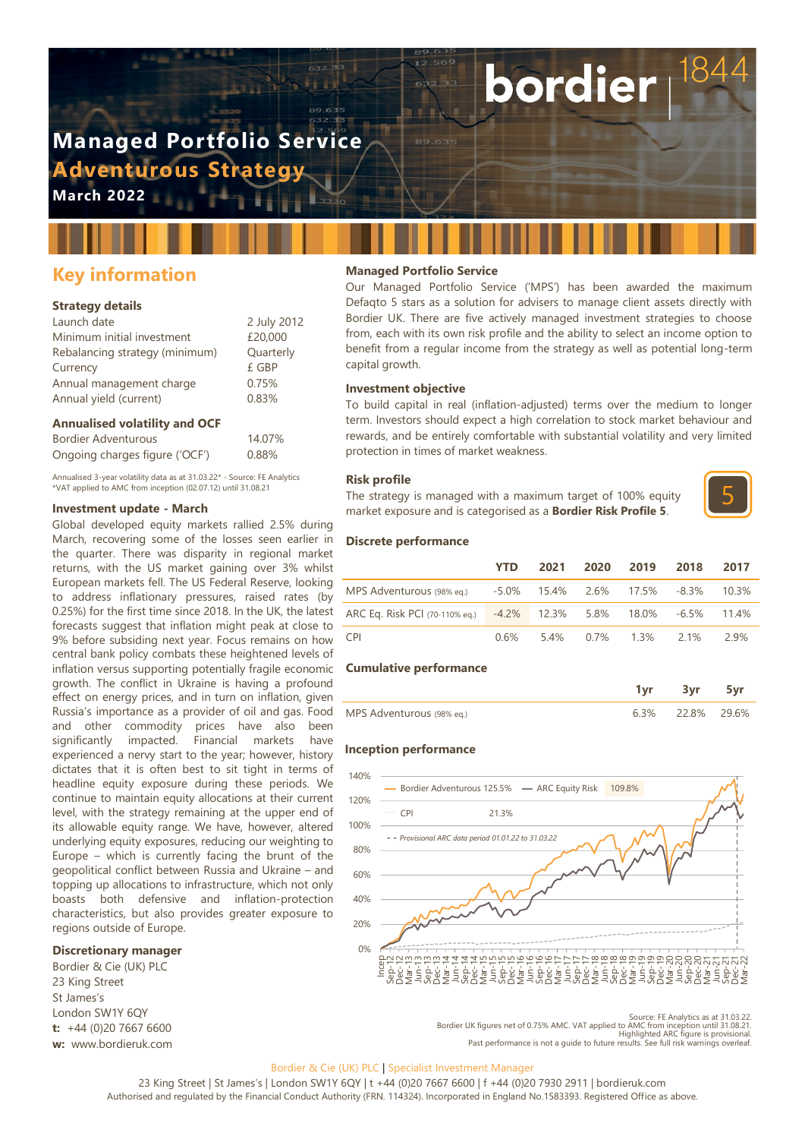# **Managed Portfolio Service Adventurous Strategy**

**March 2022**

# **Key information**

# **Strategy details**

| Launch date                    | 2 July 2012 |
|--------------------------------|-------------|
| Minimum initial investment     | £20,000     |
| Rebalancing strategy (minimum) | Quarterly   |
| Currency                       | £ GBP       |
| Annual management charge       | 0.75%       |
| Annual yield (current)         | 0.83%       |
|                                |             |

### **Annualised volatility and OCF**

| Bordier Adventurous            | 14.07% |
|--------------------------------|--------|
| Ongoing charges figure ('OCF') | 0.88%  |

Annualised 3-year volatility data as at 31.03.22\* - Source: FE Analytics \*VAT applied to AMC from inception (02.07.12) until 31.08.21

# **Investment update - March**

Global developed equity markets rallied 2.5% during March, recovering some of the losses seen earlier in the quarter. There was disparity in regional market returns, with the US market gaining over 3% whilst European markets fell. The US Federal Reserve, looking to address inflationary pressures, raised rates (by 0.25%) for the first time since 2018. In the UK, the latest forecasts suggest that inflation might peak at close to 9% before subsiding next year. Focus remains on how central bank policy combats these heightened levels of inflation versus supporting potentially fragile economic growth. The conflict in Ukraine is having a profound effect on energy prices, and in turn on inflation, given Russia's importance as a provider of oil and gas. Food and other commodity prices have also been significantly impacted. Financial markets have experienced a nervy start to the year; however, history dictates that it is often best to sit tight in terms of headline equity exposure during these periods. We continue to maintain equity allocations at their current level, with the strategy remaining at the upper end of its allowable equity range. We have, however, altered underlying equity exposures, reducing our weighting to Europe – which is currently facing the brunt of the geopolitical conflict between Russia and Ukraine – and topping up allocations to infrastructure, which not only boasts both defensive and inflation-protection characteristics, but also provides greater exposure to regions outside of Europe.

#### **Discretionary manager**

Bordier & Cie (UK) PLC 23 King Street St James's London SW1Y 6QY **t:** +44 (0)20 7667 6600 **w:** www.bordieruk.com

# **Managed Portfolio Service**

Our Managed Portfolio Service ('MPS') has been awarded the maximum Defaqto 5 stars as a solution for advisers to manage client assets directly with Bordier UK. There are five actively managed investment strategies to choose from, each with its own risk profile and the ability to select an income option to benefit from a regular income from the strategy as well as potential long-term capital growth.

bordier

#### **Investment objective**

To build capital in real (inflation-adjusted) terms over the medium to longer term. Investors should expect a high correlation to stock market behaviour and rewards, and be entirely comfortable with substantial volatility and very limited protection in times of market weakness.

#### **Risk profile**

The strategy is managed with a maximum target of 100% equity market exposure and is categorised as a **Bordier Risk Profile 5**.



#### **Discrete performance**

|                                                                   | <b>YTD</b> |  | 2021 2020 2019                 | 2018 | 2017 |
|-------------------------------------------------------------------|------------|--|--------------------------------|------|------|
| MPS Adventurous (98% eq.) 45.0% 15.4% 2.6% 17.5% -8.3% 10.3%      |            |  |                                |      |      |
| ARC Eq. Risk PCI (70-110% eq.) -4.2% 12.3% 5.8% 18.0% -6.5% 11.4% |            |  |                                |      |      |
| CPI <sup>-</sup>                                                  |            |  | $0.6\%$ 5.4% $0.7\%$ 1.3% 2.1% |      | 29%  |

#### **Cumulative performance**

| MPS Adventurous (98% eq.) | 63% 228% 296% |  |
|---------------------------|---------------|--|

#### **Inception performance**



Source: FE Analytics as at 31.03.22<br>Bordier UK figures net of 0.75% AMC. VAT applied to AMC from inception until 31.08.21<br>Highlighted ARC figure is provisional<br>Past performance is not a quide to future results. See full ri

#### Bordier & Cie (UK) PLC | Specialist Investment Manager

23 King Street | St James's | London SW1Y 6QY | t +44 (0)20 7667 6600 | f +44 (0)20 7930 2911 | bordieruk.com Authorised and regulated by the Financial Conduct Authority (FRN. 114324). Incorporated in England No.1583393. Registered Office as above.